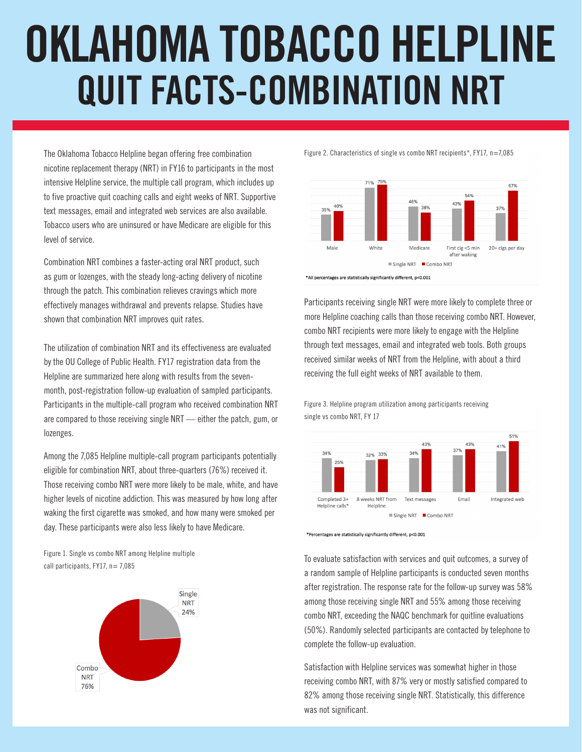## **OKLAHOMA TOBACCO HELPLINE QUIT FACTS-COMBINATION NRT**

The Oklahoma Tobacco Helpline began offering free combination nicotine replacement therapy (NRT) in FY16 to participants in the most intensive Helpline service, the multiple call program, which includes up to five proactive quit coaching calls and eight weeks of NRT. Supportive text messages, email and integrated web services are also available. Tobacco users who are uninsured or have Medicare are eligible for this level of service.

Combination NRT combines a faster-acting oral NRT product, such as gum or lozenges, with the steady long-acting delivery of nicotine through the patch. This combination relieves cravings which more effectively manages withdrawal and prevents relapse. Studies have shown that combination NRT improves quit rates.

The utilization of combination NRT and its effectiveness are evaluated by the OU College of Public Health. FY17 registration data from the Helpline are summarized here along with results from the sevenmonth, post-registration follow-up evaluation of sampled participants. Participants in the multiple-call program who received combination NRT are compared to those receiving single NRT — either the patch, gum, or lozenges.

Among the 7,085 Helpline multiple-call program participants potentially eligible for combination NRT, about three-quarters (76%) received it. Those receiving combo NRT were more likely to be male, white, and have higher levels of nicotine addiction. This was measured by how long after waking the first cigarette was smoked, and how many were smoked per day. These participants were also less likely to have Medicare.

Figure 1. Single vs combo NRT among Helpline multiple call participants,  $FY17$ ,  $n= 7,085$ 



Figure 2. Characteristics of single vs combo NRT recipients\*, FY17, n=7,085



Participants receiving single NRT were more likely to complete three or more Helpline coaching calls than those receiving combo NRT. However, combo NRT recipients were more likely to engage with the Helpline through text messages, email and integrated web tools. Both groups received similar weeks of NRT from the Helpline, with about a third receiving the full eight weeks of NRT available to them.

Figure 3. Helpline program utilization among participants receiving single vs combo NRT, FY 17



\*Percentages are statistically significantly different, p<0.001

To evaluate satisfaction with services and quit outcomes, a survey of a random sample of Helpline participants is conducted seven months after registration. The response rate for the follow-up survey was 58% among those receiving single NRT and 55% among those receiving combo NRT, exceeding the NAQC benchmark for quitline evaluations (50%). Randomly selected participants are contacted by telephone to complete the follow-up evaluation.

Satisfaction with Helpline services was somewhat higher in those receiving combo NRT, with 87% very or mostly satisfied compared to 82% among those receiving single NRT. Statistically, this difference was not significant.